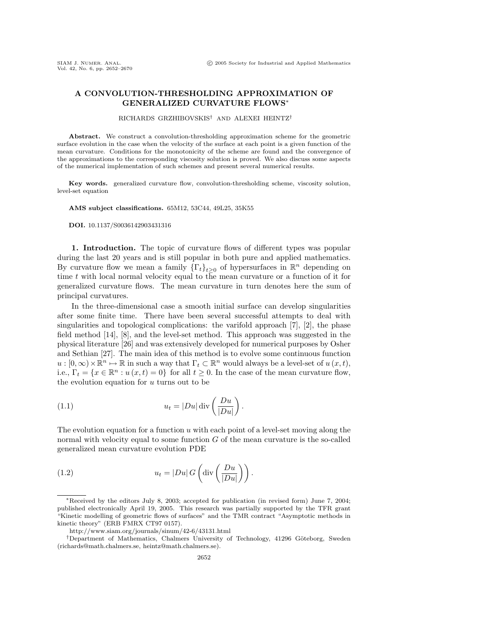## **A CONVOLUTION-THRESHOLDING APPROXIMATION OF GENERALIZED CURVATURE FLOWS**∗

RICHARDS GRZHIBOVSKIS† AND ALEXEI HEINTZ†

**Abstract.** We construct a convolution-thresholding approximation scheme for the geometric surface evolution in the case when the velocity of the surface at each point is a given function of the mean curvature. Conditions for the monotonicity of the scheme are found and the convergence of the approximations to the corresponding viscosity solution is proved. We also discuss some aspects of the numerical implementation of such schemes and present several numerical results.

**Key words.** generalized curvature flow, convolution-thresholding scheme, viscosity solution, level-set equation

**AMS subject classifications.** 65M12, 53C44, 49L25, 35K55

**DOI.** 10.1137/S0036142903431316

**1. Introduction.** The topic of curvature flows of different types was popular during the last 20 years and is still popular in both pure and applied mathematics. By curvature flow we mean a family  $\{\Gamma_t\}_{t>0}$  of hypersurfaces in  $\mathbb{R}^n$  depending on time t with local normal velocity equal to the mean curvature or a function of it for generalized curvature flows. The mean curvature in turn denotes here the sum of principal curvatures.

In the three-dimensional case a smooth initial surface can develop singularities after some finite time. There have been several successful attempts to deal with singularities and topological complications: the varifold approach [7], [2], the phase field method [14], [8], and the level-set method. This approach was suggested in the physical literature [26] and was extensively developed for numerical purposes by Osher and Sethian [27]. The main idea of this method is to evolve some continuous function  $u : [0,\infty) \times \mathbb{R}^n \mapsto \mathbb{R}$  in such a way that  $\Gamma_t \subset \mathbb{R}^n$  would always be a level-set of  $u(x,t)$ , i.e.,  $\Gamma_t = \{x \in \mathbb{R}^n : u(x,t) = 0\}$  for all  $t \geq 0$ . In the case of the mean curvature flow, the evolution equation for  $u$  turns out to be

(1.1) 
$$
u_t = |Du| \operatorname{div} \left( \frac{Du}{|Du|} \right).
$$

The evolution equation for a function  $u$  with each point of a level-set moving along the normal with velocity equal to some function  $G$  of the mean curvature is the so-called generalized mean curvature evolution PDE

(1.2) 
$$
u_t = |Du| G\left(\text{div}\left(\frac{Du}{|Du|}\right)\right).
$$

<sup>∗</sup>Received by the editors July 8, 2003; accepted for publication (in revised form) June 7, 2004; published electronically April 19, 2005. This research was partially supported by the TFR grant "Kinetic modelling of geometric flows of surfaces" and the TMR contract "Asymptotic methods in kinetic theory" (ERB FMRX CT97 0157).

http://www.siam.org/journals/sinum/42-6/43131.html

<sup>&</sup>lt;sup>†</sup>Department of Mathematics, Chalmers University of Technology, 41296 Göteborg, Sweden (richards@math.chalmers.se, heintz@math.chalmers.se).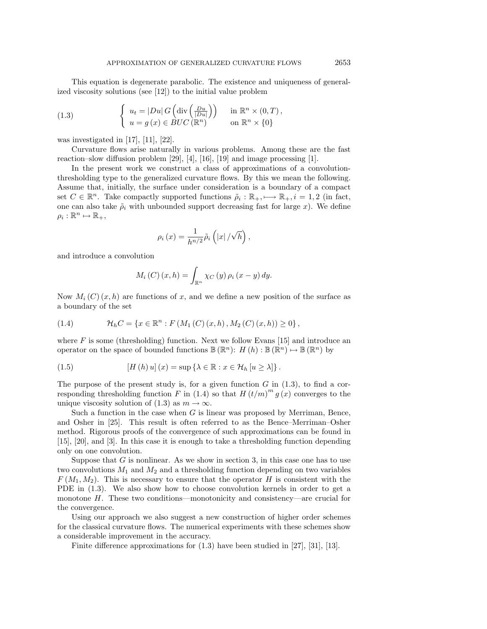This equation is degenerate parabolic. The existence and uniqueness of generalized viscosity solutions (see [12]) to the initial value problem

(1.3) 
$$
\begin{cases} u_t = |Du| G\left(\text{div}\left(\frac{Du}{|Du|}\right)\right) & \text{in } \mathbb{R}^n \times (0,T), \\ u = g(x) \in BUC(\mathbb{R}^n) & \text{on } \mathbb{R}^n \times \{0\} \end{cases}
$$

was investigated in  $[17]$ ,  $[11]$ ,  $[22]$ .

Curvature flows arise naturally in various problems. Among these are the fast reaction–slow diffusion problem  $[29]$ ,  $[4]$ ,  $[16]$ ,  $[19]$  and image processing  $[1]$ .

In the present work we construct a class of approximations of a convolutionthresholding type to the generalized curvature flows. By this we mean the following. Assume that, initially, the surface under consideration is a boundary of a compact set  $C \in \mathbb{R}^n$ . Take compactly supported functions  $\tilde{\rho}_i : \mathbb{R}_+, \longrightarrow \mathbb{R}_+, i = 1, 2$  (in fact, one can also take  $\tilde{\rho}_i$  with unbounded support decreasing fast for large x). We define  $\rho_i : \mathbb{R}^n \mapsto \mathbb{R}_+,$ 

$$
\rho_{i}\left(x\right)=\frac{1}{h^{n/2}}\tilde{\rho}_{i}\left(\left|x\right|/\sqrt{h}\right),\,
$$

and introduce a convolution

$$
M_i(C)(x,h) = \int_{\mathbb{R}^n} \chi_C(y) \rho_i(x-y) dy.
$$

Now  $M_i(C)(x, h)$  are functions of x, and we define a new position of the surface as a boundary of the set

(1.4) 
$$
\mathcal{H}_h C = \{x \in \mathbb{R}^n : F(M_1(C)(x, h), M_2(C)(x, h)) \ge 0\},\,
$$

where  $F$  is some (thresholding) function. Next we follow Evans [15] and introduce an operator on the space of bounded functions  $\mathbb{B}(\mathbb{R}^n)$ :  $H(h): \mathbb{B}(\mathbb{R}^n) \mapsto \mathbb{B}(\mathbb{R}^n)$  by

(1.5) 
$$
[H(h) u](x) = \sup \{ \lambda \in \mathbb{R} : x \in \mathcal{H}_h [u \ge \lambda] \}.
$$

The purpose of the present study is, for a given function  $G$  in  $(1.3)$ , to find a corresponding thresholding function F in (1.4) so that  $H(t/m)^m g(x)$  converges to the unique viscosity solution of (1.3) as  $m \to \infty$ .

Such a function in the case when  $G$  is linear was proposed by Merriman, Bence, and Osher in [25]. This result is often referred to as the Bence–Merriman–Osher method. Rigorous proofs of the convergence of such approximations can be found in [15], [20], and [3]. In this case it is enough to take a thresholding function depending only on one convolution.

Suppose that  $G$  is nonlinear. As we show in section 3, in this case one has to use two convolutions  $M_1$  and  $M_2$  and a thresholding function depending on two variables  $F(M_1, M_2)$ . This is necessary to ensure that the operator H is consistent with the PDE in (1.3). We also show how to choose convolution kernels in order to get a monotone  $H$ . These two conditions—monotonicity and consistency—are crucial for the convergence.

Using our approach we also suggest a new construction of higher order schemes for the classical curvature flows. The numerical experiments with these schemes show a considerable improvement in the accuracy.

Finite difference approximations for (1.3) have been studied in [27], [31], [13].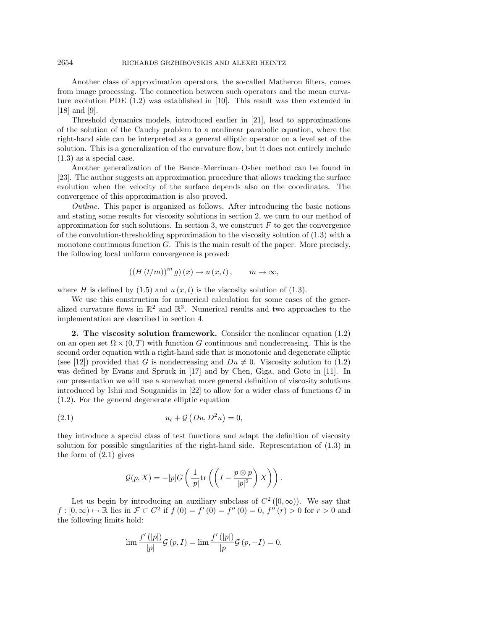## 2654 RICHARDS GRZHIBOVSKIS AND ALEXEI HEINTZ

Another class of approximation operators, the so-called Matheron filters, comes from image processing. The connection between such operators and the mean curvature evolution PDE (1.2) was established in [10]. This result was then extended in [18] and [9].

Threshold dynamics models, introduced earlier in [21], lead to approximations of the solution of the Cauchy problem to a nonlinear parabolic equation, where the right-hand side can be interpreted as a general elliptic operator on a level set of the solution. This is a generalization of the curvature flow, but it does not entirely include (1.3) as a special case.

Another generalization of the Bence–Merriman–Osher method can be found in [23]. The author suggests an approximation procedure that allows tracking the surface evolution when the velocity of the surface depends also on the coordinates. The convergence of this approximation is also proved.

Outline. This paper is organized as follows. After introducing the basic notions and stating some results for viscosity solutions in section 2, we turn to our method of approximation for such solutions. In section 3, we construct  $F$  to get the convergence of the convolution-thresholding approximation to the viscosity solution of  $(1.3)$  with a monotone continuous function  $G$ . This is the main result of the paper. More precisely, the following local uniform convergence is proved:

$$
((H(t/m))^{m} g)(x) \to u(x,t), \qquad m \to \infty,
$$

where H is defined by  $(1.5)$  and  $u(x, t)$  is the viscosity solution of  $(1.3)$ .

We use this construction for numerical calculation for some cases of the generalized curvature flows in  $\mathbb{R}^2$  and  $\mathbb{R}^3$ . Numerical results and two approaches to the implementation are described in section 4.

**2. The viscosity solution framework.** Consider the nonlinear equation (1.2) on an open set  $\Omega \times (0,T)$  with function G continuous and nondecreasing. This is the second order equation with a right-hand side that is monotonic and degenerate elliptic (see [12]) provided that G is nondecreasing and  $Du \neq 0$ . Viscosity solution to (1.2) was defined by Evans and Spruck in [17] and by Chen, Giga, and Goto in [11]. In our presentation we will use a somewhat more general definition of viscosity solutions introduced by Ishii and Souganidis in  $[22]$  to allow for a wider class of functions G in (1.2). For the general degenerate elliptic equation

$$
(2.1) \t\t u_t + \mathcal{G}\left(Du, D^2u\right) = 0,
$$

they introduce a special class of test functions and adapt the definition of viscosity solution for possible singularities of the right-hand side. Representation of (1.3) in the form of (2.1) gives

$$
\mathcal{G}(p,X) = -|p|G\left(\frac{1}{|p|}\mathrm{tr}\left(\left(I - \frac{p \otimes p}{|p|^2}\right)X\right)\right).
$$

Let us begin by introducing an auxiliary subclass of  $C^2([0,\infty))$ . We say that  $f : [0, \infty) \to \mathbb{R}$  lies in  $\mathcal{F} \subset C^2$  if  $f(0) = f'(0) = f''(0) = 0$ ,  $f''(r) > 0$  for  $r > 0$  and the following limits hold:

$$
\lim \frac{f'(|p|)}{|p|} \mathcal{G}(p,I) = \lim \frac{f'(|p|)}{|p|} \mathcal{G}(p,-I) = 0.
$$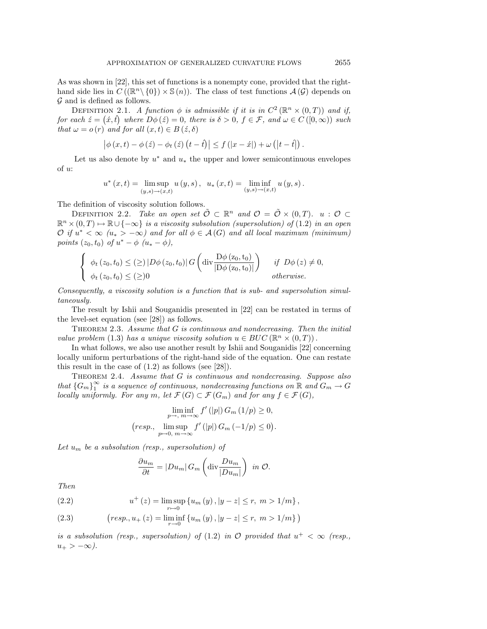As was shown in [22], this set of functions is a nonempty cone, provided that the righthand side lies in  $C((\mathbb{R}^n\setminus{0})\times\mathbb{S}(n))$ . The class of test functions  $\mathcal{A}(\mathcal{G})$  depends on  $\mathcal G$  and is defined as follows.

DEFINITION 2.1. A function  $\phi$  is admissible if it is in  $C^2(\mathbb{R}^n \times (0,T))$  and if, for each  $\acute{z} = (\acute{x}, \acute{t})$  where  $D\phi(\acute{z}) = 0$ , there is  $\delta > 0$ ,  $f \in \mathcal{F}$ , and  $\omega \in C([0,\infty))$  such that  $\omega = o(r)$  and for all  $(x, t) \in B(\dot{z}, \delta)$ 

$$
\left|\phi\left(x,t\right)-\phi\left(\dot{z}\right)-\phi_{t}\left(\dot{z}\right)\left(t-t\right)\right| \leq f\left(\left|x-\acute{x}\right|\right)+\omega\left(\left|t-\acute{t}\right|\right).
$$

Let us also denote by  $u^*$  and  $u_*$  the upper and lower semicontinuous envelopes of u:

$$
u^*(x,t) = \limsup_{(y,s)\to(x,t)} u(y,s), \ \ u_*(x,t) = \liminf_{(y,s)\to(x,t)} u(y,s).
$$

The definition of viscosity solution follows.

DEFINITION 2.2. Take an open set  $\tilde{\mathcal{O}} \subset \mathbb{R}^n$  and  $\mathcal{O} = \tilde{\mathcal{O}} \times (0,T)$ .  $u : \mathcal{O} \subset$  $\mathbb{R}^n \times (0,T) \mapsto \mathbb{R} \cup \{-\infty\}$  is a viscosity subsolution (supersolution) of (1.2) in an open  $\mathcal{O}$  if  $u^* < \infty$  ( $u_* > -\infty$ ) and for all  $\phi \in \mathcal{A}(G)$  and all local maximum (minimum) points  $(z_0, t_0)$  of  $u^* - \phi$   $(u_* - \phi)$ ,

$$
\begin{cases} \phi_t(z_0, t_0) \leq (\geq) |D\phi(z_0, t_0)| G\left(\text{div}\frac{D\phi(z_0, t_0)}{|D\phi(z_0, t_0)|}\right) & \text{if } D\phi(z) \neq 0, \\ \phi_t(z_0, t_0) \leq (\geq) 0 & \text{otherwise.} \end{cases}
$$

Consequently, a viscosity solution is a function that is sub- and supersolution simultaneously.

The result by Ishii and Souganidis presented in [22] can be restated in terms of the level-set equation (see [28]) as follows.

THEOREM 2.3. Assume that  $G$  is continuous and nondecreasing. Then the initial value problem (1.3) has a unique viscosity solution  $u \in BUC(\mathbb{R}^n \times (0,T))$ .

In what follows, we also use another result by Ishii and Souganidis [22] concerning locally uniform perturbations of the right-hand side of the equation. One can restate this result in the case of (1.2) as follows (see [28]).

THEOREM 2.4. Assume that G is continuous and nondecreasing. Suppose also that  $\{G_m\}_1^{\infty}$  is a sequence of continuous, nondecreasing functions on  $\mathbb R$  and  $G_m\to G$ locally uniformly. For any m, let  $\mathcal{F}(G) \subset \mathcal{F}(G_m)$  and for any  $f \in \mathcal{F}(G)$ ,

$$
\liminf_{p \to, m \to \infty} f'(|p|) G_m(1/p) \ge 0,
$$
  
(resp., 
$$
\limsup_{p \to 0, m \to \infty} f'(|p|) G_m(-1/p) \le 0).
$$

Let  $u_m$  be a subsolution (resp., supersolution) of

$$
\frac{\partial u_m}{\partial t} = |Du_m| \, G_m \left( \text{div} \frac{Du_m}{|Du_m|} \right) \text{ in } \mathcal{O}.
$$

Then

(2.2) 
$$
u^+(z) = \limsup_{r \to 0} \{u_m(y), |y - z| \le r, m > 1/m\},
$$

(2.3) 
$$
(resp., u_{+}(z) = \liminf_{r \to 0} \{u_{m}(y), |y - z| \le r, m > 1/m\})
$$

is a subsolution (resp., supersolution) of (1.2) in  $\mathcal O$  provided that  $u^+ < \infty$  (resp.,  $u_+ > -\infty$ ).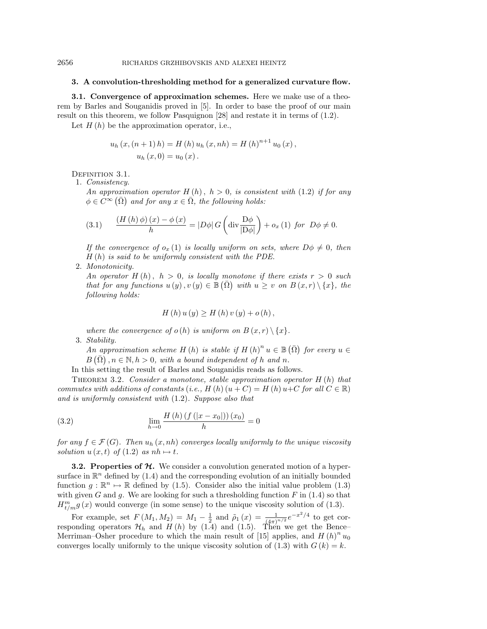## **3. A convolution-thresholding method for a generalized curvature flow.**

**3.1. Convergence of approximation schemes.** Here we make use of a theorem by Barles and Souganidis proved in [5]. In order to base the proof of our main result on this theorem, we follow Pasquignon [28] and restate it in terms of (1.2).

Let  $H(h)$  be the approximation operator, i.e.,

$$
u_{h}(x,(n+1) h) = H(h) u_{h}(x,nh) = H(h)^{n+1} u_{0}(x),
$$
  

$$
u_{h}(x,0) = u_{0}(x).
$$

DEFINITION 3.1.

1. Consistency.

An approximation operator  $H(h)$ ,  $h > 0$ , is consistent with (1.2) if for any  $\phi \in C^{\infty}(\overline{\Omega})$  and for any  $x \in \overline{\Omega}$ , the following holds:

(3.1) 
$$
\frac{(H(h)\phi)(x) - \phi(x)}{h} = |D\phi| G\left(\text{div}\frac{D\phi}{|D\phi|}\right) + o_x(1) \text{ for } D\phi \neq 0.
$$

If the convergence of  $o_x(1)$  is locally uniform on sets, where  $D\phi \neq 0$ , then  $H(h)$  is said to be uniformly consistent with the PDE.

2. Monotonicity.

An operator  $H(h)$ ,  $h > 0$ , is locally monotone if there exists  $r > 0$  such that for any functions  $u(y), v(y) \in \mathbb{B}(\overline{\Omega})$  with  $u \geq v$  on  $B(x,r) \setminus \{x\}$ , the following holds:

$$
H(h) u (y) \ge H(h) v (y) + o (h) ,
$$

where the convergence of  $o(h)$  is uniform on  $B(x,r) \setminus \{x\}.$ 3. Stability.

An approximation scheme H (h) is stable if  $H(h)^n u \in \mathbb{B}(\overline{\Omega})$  for every  $u \in$  $B(\overline{\Omega})$ ,  $n \in \mathbb{N}, h > 0$ , with a bound independent of h and n.

In this setting the result of Barles and Souganidis reads as follows.

THEOREM 3.2. Consider a monotone, stable approximation operator  $H(h)$  that commutes with additions of constants (i.e., H (h) ( $u + C$ ) = H (h)  $u+C$  for all  $C \in \mathbb{R}$ ) and is uniformly consistent with (1.2). Suppose also that

(3.2) 
$$
\lim_{h \to 0} \frac{H(h) (f(|x - x_0|)) (x_0)}{h} = 0
$$

for any  $f \in \mathcal{F}(G)$ . Then  $u_h(x, nh)$  converges locally uniformly to the unique viscosity solution  $u(x, t)$  of  $(1.2)$  as  $nh \mapsto t$ .

**3.2. Properties of** *H***.** We consider a convolution generated motion of a hypersurface in  $\mathbb{R}^n$  defined by (1.4) and the corresponding evolution of an initially bounded function  $g : \mathbb{R}^n \to \mathbb{R}$  defined by (1.5). Consider also the initial value problem (1.3) with given G and g. We are looking for such a thresholding function  $F$  in (1.4) so that  $H_{t/m}^{m} g(x)$  would converge (in some sense) to the unique viscosity solution of (1.3).

For example, set  $F(M_1, M_2) = M_1 - \frac{1}{2}$  and  $\tilde{\rho}_1(x) = \frac{1}{(4\pi)^{n/2}}e^{-x^2/4}$  to get corresponding operators  $\mathcal{H}_h$  and  $H(h)$  by (1.4) and (1.5). Then we get the Bence– Merriman–Osher procedure to which the main result of [15] applies, and  $H(h)^n u_0$ converges locally uniformly to the unique viscosity solution of  $(1.3)$  with  $G(k) = k$ .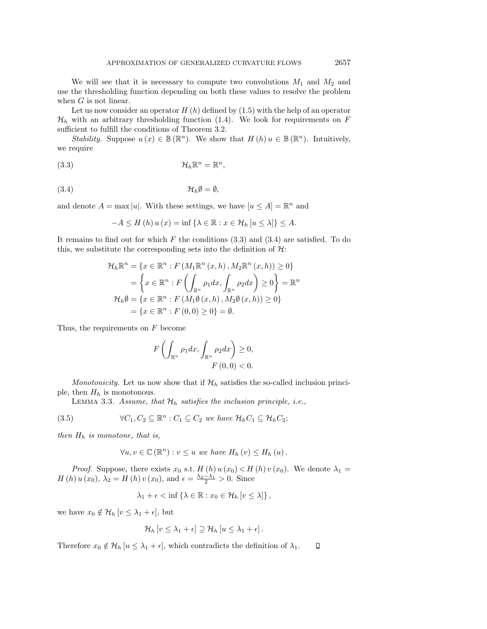We will see that it is necessary to compute two convolutions  $M_1$  and  $M_2$  and use the thresholding function depending on both these values to resolve the problem when  $G$  is not linear.

Let us now consider an operator  $H(h)$  defined by  $(1.5)$  with the help of an operator  $\mathcal{H}_h$  with an arbitrary thresholding function (1.4). We look for requirements on F sufficient to fulfill the conditions of Theorem 3.2.

Stability. Suppose  $u(x) \in \mathbb{B}(\mathbb{R}^n)$ . We show that  $H(h)$   $u \in \mathbb{B}(\mathbb{R}^n)$ . Intuitively, we require

$$
(\mathbf{3}.\mathbf{3}) \qquad \qquad \mathcal{H}_h \mathbb{R}^n = \mathbb{R}^n,
$$

$$
(3.4) \t\t\t\t\t\mathcal{H}_h \emptyset = \emptyset,
$$

and denote  $A = \max |u|$ . With these settings, we have  $[u \leq A] = \mathbb{R}^n$  and

$$
-A \le H(h) u(x) = \inf \{ \lambda \in \mathbb{R} : x \in \mathcal{H}_h [u \le \lambda] \} \le A.
$$

It remains to find out for which  $F$  the conditions  $(3.3)$  and  $(3.4)$  are satisfied. To do this, we substitute the corresponding sets into the definition of  $H$ :

$$
\mathcal{H}_h \mathbb{R}^n = \{x \in \mathbb{R}^n : F(M_1 \mathbb{R}^n (x, h), M_2 \mathbb{R}^n (x, h)) \ge 0\}
$$
  
= 
$$
\left\{x \in \mathbb{R}^n : F\left(\int_{\mathbb{R}^n} \rho_1 dx, \int_{\mathbb{R}^n} \rho_2 dx\right) \ge 0\right\} = \mathbb{R}^n
$$
  

$$
\mathcal{H}_h \emptyset = \{x \in \mathbb{R}^n : F(M_1 \emptyset (x, h), M_2 \emptyset (x, h)) \ge 0\}
$$
  
= 
$$
\{x \in \mathbb{R}^n : F(0, 0) \ge 0\} = \emptyset.
$$

Thus, the requirements on  $F$  become

$$
F\left(\int_{\mathbb{R}^n} \rho_1 dx, \int_{\mathbb{R}^n} \rho_2 dx\right) \ge 0,
$$
  

$$
F(0,0) < 0.
$$

*Monotonicity*. Let us now show that if  $\mathcal{H}_h$  satisfies the so-called inclusion principle, then  $H_h$  is monotonous.

LEMMA 3.3. Assume, that  $\mathcal{H}_h$  satisfies the inclusion principle, i.e.,

(3.5) 
$$
\forall C_1, C_2 \subseteq \mathbb{R}^n : C_1 \subseteq C_2 \text{ we have } \mathcal{H}_h C_1 \subseteq \mathcal{H}_h C_2;
$$

then  $H_h$  is monotone, that is,

$$
\forall u, v \in \mathbb{C}(\mathbb{R}^n) : v \leq u \text{ we have } H_h(v) \leq H_h(u).
$$

*Proof.* Suppose, there exists  $x_0$  s.t.  $H(h) u(x_0) < H(h) v(x_0)$ . We denote  $\lambda_1 =$  $H(h) u(x_0), \lambda_2 = H(h) v(x_0), \text{ and } \epsilon = \frac{\lambda_2 - \lambda_1}{2} > 0.$  Since

$$
\lambda_1 + \epsilon < \inf \left\{ \lambda \in \mathbb{R} : x_0 \in \mathcal{H}_h \left[ v \le \lambda \right] \right\},\
$$

we have  $x_0 \notin \mathcal{H}_h$   $[v \leq \lambda_1 + \epsilon],$  but

$$
\mathcal{H}_h\left[v\leq \lambda_1+\epsilon\right]\supseteq \mathcal{H}_h\left[u\leq \lambda_1+\epsilon\right].
$$

Therefore  $x_0 \notin \mathcal{H}_h$   $[u \leq \lambda_1 + \epsilon]$ , which contradicts the definition of  $\lambda_1$ .  $\Box$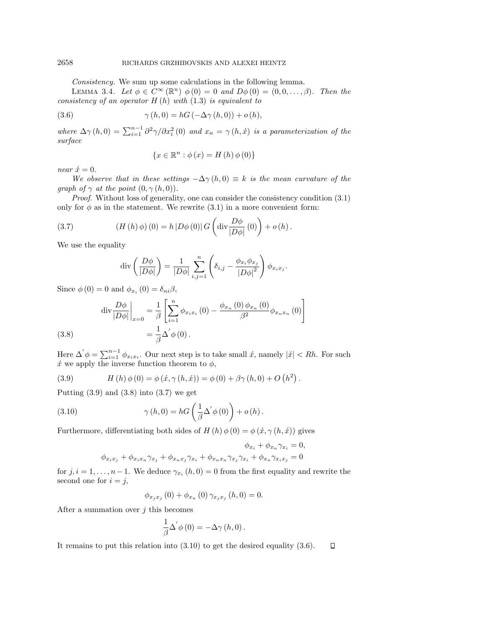Consistency. We sum up some calculations in the following lemma.

LEMMA 3.4. Let  $\phi \in C^{\infty}(\mathbb{R}^n)$   $\phi(0) = 0$  and  $D\phi(0) = (0, 0, \ldots, \beta)$ . Then the consistency of an operator  $H(h)$  with  $(1.3)$  is equivalent to

(3.6) 
$$
\gamma(h,0) = hG(-\Delta\gamma(h,0)) + o(h),
$$

where  $\Delta\gamma(h,0) = \sum_{i=1}^{n-1} \frac{\partial^2\gamma}{\partial x_i^2}(0)$  and  $x_n = \gamma(h,\acute{x})$  is a parameterization of the surface

$$
\{x \in \mathbb{R}^n : \phi(x) = H(h)\phi(0)\}
$$

near  $\acute{x} = 0$ .

We observe that in these settings  $-\Delta\gamma(h,0) \equiv k$  is the mean curvature of the graph of  $\gamma$  at the point  $(0, \gamma(h, 0))$ .

Proof. Without loss of generality, one can consider the consistency condition (3.1) only for  $\phi$  as in the statement. We rewrite (3.1) in a more convenient form:

(3.7) 
$$
(H(h)\phi)(0) = h |D\phi(0)| G\left(\text{div}\frac{D\phi}{|D\phi|}(0)\right) + o(h).
$$

We use the equality

$$
\operatorname{div}\left(\frac{D\phi}{|D\phi|}\right) = \frac{1}{|D\phi|} \sum_{i,j=1}^{n} \left(\delta_{i,j} - \frac{\phi_{x_i}\phi_{x_j}}{|D\phi|^2}\right) \phi_{x_i x_j}.
$$

Since  $\phi(0) = 0$  and  $\phi_{x_i}(0) = \delta_{ni}\beta$ ,

(3.8) 
$$
\begin{aligned}\n\text{div}\frac{D\phi}{|D\phi|}\Big|_{x=0} &= \frac{1}{\beta} \left[ \sum_{i=1}^{n} \phi_{x_i x_i} (0) - \frac{\phi_{x_n} (0) \phi_{x_n} (0)}{\beta^2} \phi_{x_n x_n} (0) \right] \\
&= \frac{1}{\beta} \Delta' \phi (0).\n\end{aligned}
$$

Here  $\Delta' \phi = \sum_{i=1}^{n-1} \phi_{x_i x_i}$ . Our next step is to take small  $\hat{x}$ , namely  $|\hat{x}| < Rh$ . For such  $\acute{x}$  we apply the inverse function theorem to  $\phi$ ,

(3.9) 
$$
H(h)\phi(0) = \phi(\acute{x}, \gamma(h, \acute{x})) = \phi(0) + \beta\gamma(h, 0) + O(h^{2}).
$$

Putting  $(3.9)$  and  $(3.8)$  into  $(3.7)$  we get

(3.10) 
$$
\gamma(h,0) = hG\left(\frac{1}{\beta}\Delta'\phi(0)\right) + o(h).
$$

Furthermore, differentiating both sides of  $H(h)\phi(0) = \phi(\acute{x}, \gamma(h, \acute{x}))$  gives

$$
\phi_{x_i} + \phi_{x_n} \gamma_{x_i} = 0,
$$
  

$$
\phi_{x_i x_j} + \phi_{x_i x_n} \gamma_{x_j} + \phi_{x_n x_j} \gamma_{x_i} + \phi_{x_n x_n} \gamma_{x_j} \gamma_{x_i} + \phi_{x_n} \gamma_{x_i x_j} = 0
$$

for  $j, i = 1, \ldots, n-1$ . We deduce  $\gamma_{x_i}(h, 0) = 0$  from the first equality and rewrite the second one for  $i = j$ ,

$$
\phi_{x_j x_j} (0) + \phi_{x_n} (0) \gamma_{x_j x_j} (h, 0) = 0.
$$

After a summation over  $j$  this becomes

$$
\frac{1}{\beta}\Delta^{'}\phi(0)=-\Delta\gamma(h,0).
$$

It remains to put this relation into (3.10) to get the desired equality (3.6). $\Box$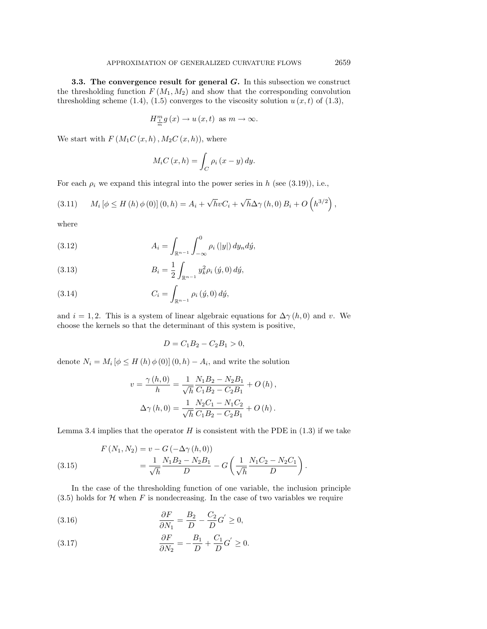**3.3. The convergence result for general** *G***.** In this subsection we construct the thresholding function  $F(M_1, M_2)$  and show that the corresponding convolution thresholding scheme (1.4), (1.5) converges to the viscosity solution  $u(x, t)$  of (1.3),

$$
H_{\frac{t}{m}}^{m}g(x) \to u(x,t) \text{ as } m \to \infty.
$$

We start with  $F(M_1C(x, h), M_2C(x, h))$ , where

$$
M_iC(x,h) = \int_C \rho_i(x-y) \, dy.
$$

For each  $\rho_i$  we expand this integral into the power series in h (see (3.19)), i.e.,

(3.11) 
$$
M_i [\phi \le H(h) \phi(0)] (0, h) = A_i + \sqrt{h} v C_i + \sqrt{h} \Delta \gamma (h, 0) B_i + O(h^{3/2}),
$$

where

(3.12) 
$$
A_{i} = \int_{\mathbb{R}^{n-1}} \int_{-\infty}^{0} \rho_{i}(|y|) dy_{n} d\acute{y},
$$

(3.13) 
$$
B_i = \frac{1}{2} \int_{\mathbb{R}^{n-1}} y_k^2 \rho_i \left( \dot{y}, 0 \right) d\dot{y},
$$

(3.14) 
$$
C_i = \int_{\mathbb{R}^{n-1}} \rho_i(\acute{y}, 0) \, d\acute{y},
$$

and  $i = 1, 2$ . This is a system of linear algebraic equations for  $\Delta \gamma(h, 0)$  and v. We choose the kernels so that the determinant of this system is positive,

$$
D = C_1 B_2 - C_2 B_1 > 0,
$$

denote  $N_i = M_i [\phi \le H(h) \phi(0)] (0, h) - A_i$ , and write the solution

$$
v = \frac{\gamma(h,0)}{h} = \frac{1}{\sqrt{h}} \frac{N_1 B_2 - N_2 B_1}{C_1 B_2 - C_2 B_1} + O(h),
$$
  

$$
\Delta \gamma(h,0) = \frac{1}{\sqrt{h}} \frac{N_2 C_1 - N_1 C_2}{C_1 B_2 - C_2 B_1} + O(h).
$$

Lemma 3.4 implies that the operator  $H$  is consistent with the PDE in  $(1.3)$  if we take

(3.15) 
$$
F(N_1, N_2) = v - G(-\Delta \gamma (h, 0))
$$

$$
= \frac{1}{\sqrt{h}} \frac{N_1 B_2 - N_2 B_1}{D} - G\left(\frac{1}{\sqrt{h}} \frac{N_1 C_2 - N_2 C_1}{D}\right).
$$

In the case of the thresholding function of one variable, the inclusion principle (3.5) holds for  $H$  when  $F$  is nondecreasing. In the case of two variables we require

(3.16) 
$$
\frac{\partial F}{\partial N_1} = \frac{B_2}{D} - \frac{C_2}{D} G' \ge 0,
$$

(3.17) 
$$
\frac{\partial F}{\partial N_2} = -\frac{B_1}{D} + \frac{C_1}{D}G' \ge 0.
$$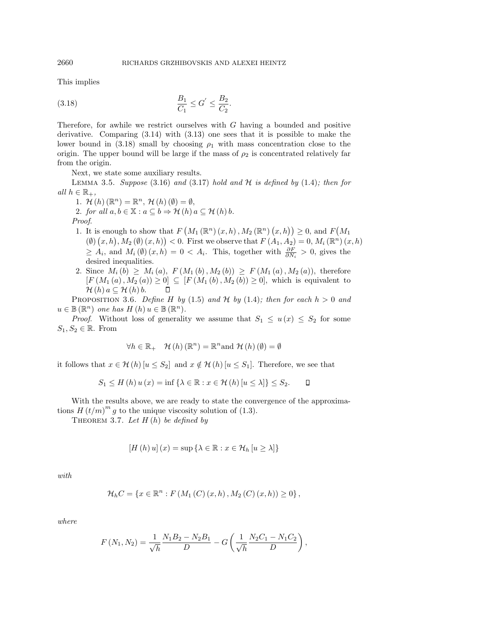This implies

(3.18) 
$$
\frac{B_1}{C_1} \le G' \le \frac{B_2}{C_2}.
$$

Therefore, for awhile we restrict ourselves with G having a bounded and positive derivative. Comparing (3.14) with (3.13) one sees that it is possible to make the lower bound in  $(3.18)$  small by choosing  $\rho_1$  with mass concentration close to the origin. The upper bound will be large if the mass of  $\rho_2$  is concentrated relatively far from the origin.

Next, we state some auxiliary results.

LEMMA 3.5. Suppose  $(3.16)$  and  $(3.17)$  hold and  $H$  is defined by  $(1.4)$ ; then for all  $h \in \mathbb{R}_+$ ,

- 1.  $\mathcal{H}(h)$   $(\mathbb{R}^n) = \mathbb{R}^n$ ,  $\mathcal{H}(h)$   $(\emptyset) = \emptyset$ , 2. for all  $a, b \in \mathbb{X} : a \subseteq b \Rightarrow \mathcal{H}(h) \mid a \subseteq \mathcal{H}(h) \mid b$ . Proof.
- 1. It is enough to show that  $F\left(M_1(\mathbb{R}^n)(x,h), M_2(\mathbb{R}^n)(x,h)\right) \geq 0$ , and  $F\left(M_1(\mathbb{R}^n)(x,h)\right)$  $(\emptyset)$   $(x,h)$ ,  $M_2(\emptyset)$   $(x,h)$   $(x,h)$   $(0,0)$ . First we observe that  $F(A_1,A_2) = 0$ ,  $M_i(\mathbb{R}^n)(x,h)$  $\geq A_i$ , and  $M_i(\emptyset)(x,h)=0 < A_i$ . This, together with  $\frac{\partial F}{\partial N_i} > 0$ , gives the desired inequalities.
- 2. Since  $M_i(b) \geq M_i(a), F(M_1(b), M_2(b)) \geq F(M_1(a), M_2(a)),$  therefore  $[F(M_1(a), M_2(a)) \geq 0] \subseteq [F(M_1(b), M_2(b)) \geq 0]$ , which is equivalent to  $\mathcal{H}(h)$   $a \subseteq \mathcal{H}(h)$   $b$ .  $\Box$

PROPOSITION 3.6. Define H by (1.5) and H by (1.4); then for each  $h > 0$  and  $u \in \mathbb{B}(\mathbb{R}^n)$  one has  $H(h)$   $u \in \mathbb{B}(\mathbb{R}^n)$ .

*Proof.* Without loss of generality we assume that  $S_1 \leq u(x) \leq S_2$  for some  $S_1, S_2 \in \mathbb{R}$ . From

$$
\forall h \in \mathbb{R}_{+} \quad \mathcal{H}(h) \left( \mathbb{R}^{n} \right) = \mathbb{R}^{n} \text{and } \mathcal{H}(h) \left( \emptyset \right) = \emptyset
$$

it follows that  $x \in \mathcal{H}(h)$  [ $u \leq S_2$ ] and  $x \notin \mathcal{H}(h)$  [ $u \leq S_1$ ]. Therefore, we see that

$$
S_1 \leq H(h) u(x) = \inf \{ \lambda \in \mathbb{R} : x \in \mathcal{H}(h) [u \leq \lambda] \} \leq S_2.
$$

With the results above, we are ready to state the convergence of the approximations  $H(t/m)^m g$  to the unique viscosity solution of (1.3).

THEOREM 3.7. Let  $H(h)$  be defined by

$$
[H(h) u](x) = \sup \{ \lambda \in \mathbb{R} : x \in \mathcal{H}_h [u \ge \lambda] \}
$$

with

$$
\mathcal{H}_h C = \{ x \in \mathbb{R}^n : F(M_1(C)(x,h), M_2(C)(x,h)) \ge 0 \},\,
$$

where

$$
F(N_1, N_2) = \frac{1}{\sqrt{h}} \frac{N_1 B_2 - N_2 B_1}{D} - G\left(\frac{1}{\sqrt{h}} \frac{N_2 C_1 - N_1 C_2}{D}\right),
$$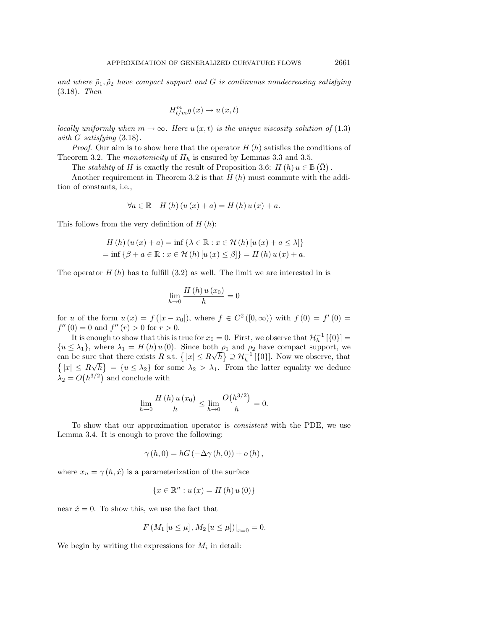and where  $\tilde{\rho}_1, \tilde{\rho}_2$  have compact support and G is continuous nondecreasing satisfying (3.18). Then

$$
H_{t/m}^{m}g\left(x\right)\to u\left(x,t\right)
$$

locally uniformly when  $m \to \infty$ . Here  $u(x,t)$  is the unique viscosity solution of (1.3) with G satisfying  $(3.18)$ .

*Proof.* Our aim is to show here that the operator  $H(h)$  satisfies the conditions of Theorem 3.2. The *monotonicity* of  $H_h$  is ensured by Lemmas 3.3 and 3.5.

The *stability* of H is exactly the result of Proposition 3.6:  $H(h) u \in \mathbb{B}(\overline{\Omega})$ .

Another requirement in Theorem 3.2 is that  $H(h)$  must commute with the addition of constants, i.e.,

$$
\forall a \in \mathbb{R} \quad H(h)(u(x) + a) = H(h)u(x) + a.
$$

This follows from the very definition of  $H(h)$ :

$$
H(h) (u (x) + a) = \inf \{ \lambda \in \mathbb{R} : x \in \mathcal{H}(h) [u (x) + a \le \lambda] \}
$$
  
=  $\inf \{ \beta + a \in \mathbb{R} : x \in \mathcal{H}(h) [u (x) \le \beta] \} = H(h) u (x) + a$ .

The operator  $H(h)$  has to fulfill (3.2) as well. The limit we are interested in is

$$
\lim_{h \to 0} \frac{H(h) u(x_0)}{h} = 0
$$

for u of the form  $u(x) = f(|x-x_0|)$ , where  $f \in C^2([0,\infty))$  with  $f(0) = f'(0) =$  $f''(0) = 0$  and  $f''(r) > 0$  for  $r > 0$ .

It is enough to show that this is true for  $x_0 = 0$ . First, we observe that  $\mathcal{H}_h^{-1}$  [{0}] =  ${u \leq \lambda_1}$ , where  $\lambda_1 = H(h) u(0)$ . Since both  $\rho_1$  and  $\rho_2$  have compact support, we can be sure that there exists R s.t.  $\{|x| \leq R\}$ √ re that there exists R s.t.  $\{|x| \le R\sqrt{h}\} \supseteq H_h^{-1}[\{0\}]$ . Now we observe, that  $\{|x| \le R\sqrt{h}\} = \{u \le \lambda_2\}$  for some  $\lambda_2 > \lambda_1$ . From the latter equality we deduce  $\lambda_2 = O(h^{3/2})$  and conclude with

$$
\lim_{h \to 0} \frac{H(h) u(x_0)}{h} \le \lim_{h \to 0} \frac{O(h^{3/2})}{h} = 0.
$$

To show that our approximation operator is consistent with the PDE, we use Lemma 3.4. It is enough to prove the following:

$$
\gamma(h,0) = hG(-\Delta\gamma(h,0)) + o(h),
$$

where  $x_n = \gamma(h, \dot{x})$  is a parameterization of the surface

$$
\{x \in \mathbb{R}^n : u(x) = H(h) u(0)\}\
$$

near  $\acute{x} = 0$ . To show this, we use the fact that

$$
F(M_1[u \le \mu], M_2[u \le \mu])|_{x=0} = 0.
$$

We begin by writing the expressions for  $M_i$  in detail: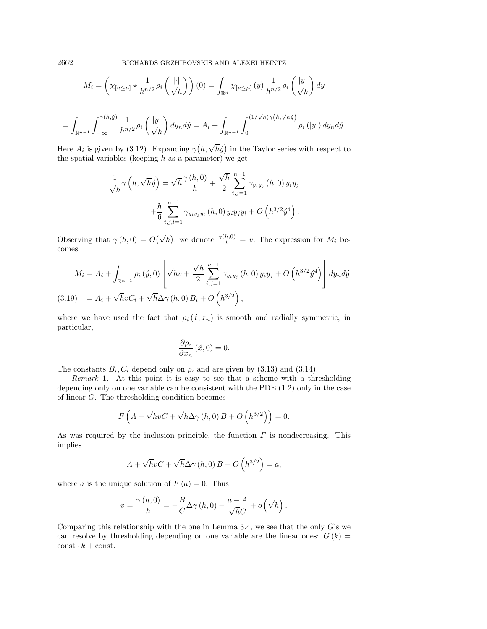2662 RICHARDS GRZHIBOVSKIS AND ALEXEI HEINTZ

$$
M_i = \left(\chi_{[u \le \mu]} \star \frac{1}{h^{n/2}} \rho_i \left(\frac{|\cdot|}{\sqrt{h}}\right)\right)(0) = \int_{\mathbb{R}^n} \chi_{[u \le \mu]}(y) \frac{1}{h^{n/2}} \rho_i \left(\frac{|y|}{\sqrt{h}}\right) dy
$$
  
= 
$$
\int_{\mathbb{R}^{n-1}} \int_{-\infty}^{\gamma(h,\hat{y})} \frac{1}{h^{n/2}} \rho_i \left(\frac{|y|}{\sqrt{h}}\right) dy_n d\hat{y} = A_i + \int_{\mathbb{R}^{n-1}} \int_0^{(1/\sqrt{h})\gamma(h,\sqrt{h}\hat{y})} \rho_i(|y|) dy_n d\hat{y}.
$$

Here  $A_i$  is given by (3.12). Expanding  $\gamma(h, \sqrt{h}\hat{y})$  in the Taylor series with respect to the spatial variables (keeping  $h$  as a parameter) we get

$$
\frac{1}{\sqrt{h}}\gamma\left(h,\sqrt{h}\dot{y}\right) = \sqrt{h}\frac{\gamma\left(h,0\right)}{h} + \frac{\sqrt{h}}{2}\sum_{i,j=1}^{n-1}\gamma_{y_iy_j}\left(h,0\right)y_iy_j + \frac{h}{6}\sum_{i,j,l=1}^{n-1}\gamma_{y_iy_jy_l}\left(h,0\right)y_iy_jy_l + O\left(h^{3/2}\dot{y}^4\right).
$$

Observing that  $\gamma(h, 0) = O(\sqrt{h})$ , we denote  $\frac{\gamma(h, 0)}{h} = v$ . The expression for  $M_i$  becomes

$$
M_{i} = A_{i} + \int_{\mathbb{R}^{n-1}} \rho_{i}(\acute{y}, 0) \left[ \sqrt{h}v + \frac{\sqrt{h}}{2} \sum_{i,j=1}^{n-1} \gamma_{y_{i}y_{j}}(h, 0) y_{i}y_{j} + O\left(h^{3/2}\acute{y}^{4}\right) \right] dy_{n} d\acute{y}
$$
  
(3.19) =  $A_{i} + \sqrt{h}vC_{i} + \sqrt{h}\Delta\gamma(h, 0) B_{i} + O\left(h^{3/2}\right),$ 

where we have used the fact that  $\rho_i(x, x_n)$  is smooth and radially symmetric, in particular,

$$
\frac{\partial \rho_i}{\partial x_n}(\acute{x},0) = 0.
$$

The constants  $B_i, C_i$  depend only on  $\rho_i$  and are given by (3.13) and (3.14).

Remark 1. At this point it is easy to see that a scheme with a thresholding depending only on one variable can be consistent with the PDE (1.2) only in the case of linear G. The thresholding condition becomes

$$
F\left(A+\sqrt{h}vC+\sqrt{h}\Delta\gamma\left(h,0\right)B+O\left(h^{3/2}\right)\right)=0.
$$

As was required by the inclusion principle, the function  $F$  is nondecreasing. This implies

$$
A + \sqrt{h}vC + \sqrt{h}\Delta\gamma(h,0)B + O\left(h^{3/2}\right) = a,
$$

where a is the unique solution of  $F(a) = 0$ . Thus

$$
v = \frac{\gamma(h,0)}{h} = -\frac{B}{C}\Delta\gamma(h,0) - \frac{a-A}{\sqrt{h}C} + o\left(\sqrt{h}\right).
$$

Comparing this relationship with the one in Lemma 3.4, we see that the only  $G$ 's we can resolve by thresholding depending on one variable are the linear ones:  $G(k)$  =  $\mathrm{const}\cdot k+\mathrm{const.}$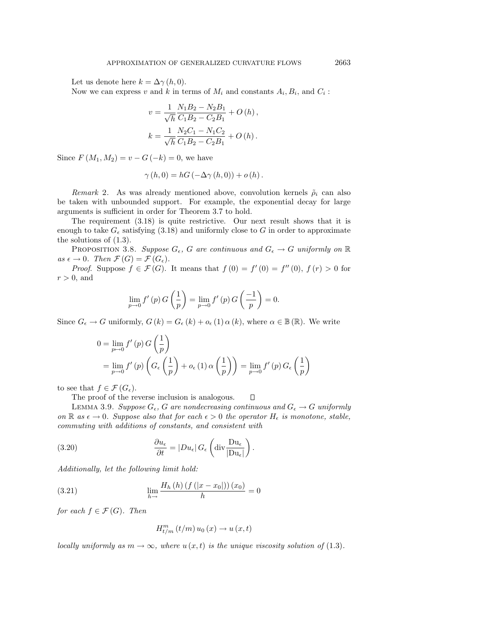Let us denote here  $k = \Delta \gamma(h, 0)$ .

Now we can express v and k in terms of  $M_i$  and constants  $A_i, B_i$ , and  $C_i$ :

$$
v = \frac{1}{\sqrt{h}} \frac{N_1 B_2 - N_2 B_1}{C_1 B_2 - C_2 B_1} + O(h),
$$
  

$$
k = \frac{1}{\sqrt{h}} \frac{N_2 C_1 - N_1 C_2}{C_1 B_2 - C_2 B_1} + O(h).
$$

Since  $F(M_1, M_2) = v - G(-k) = 0$ , we have

$$
\gamma(h,0) = hG(-\Delta\gamma(h,0)) + o(h).
$$

Remark 2. As was already mentioned above, convolution kernels  $\tilde{\rho}_i$  can also be taken with unbounded support. For example, the exponential decay for large arguments is sufficient in order for Theorem 3.7 to hold.

The requirement (3.18) is quite restrictive. Our next result shows that it is enough to take  $G_{\epsilon}$  satisfying (3.18) and uniformly close to G in order to approximate the solutions of (1.3).

PROPOSITION 3.8. Suppose  $G_{\epsilon}$ , G are continuous and  $G_{\epsilon} \to G$  uniformly on  $\mathbb R$ as  $\epsilon \to 0$ . Then  $\mathcal{F}(G) = \mathcal{F}(G_{\epsilon})$ .

*Proof.* Suppose  $f \in \mathcal{F}(G)$ . It means that  $f(0) = f'(0) = f''(0)$ ,  $f(r) > 0$  for  $r > 0$ , and

$$
\lim_{p \to 0} f'(p) G\left(\frac{1}{p}\right) = \lim_{p \to 0} f'(p) G\left(\frac{-1}{p}\right) = 0.
$$

Since  $G_{\epsilon} \to G$  uniformly,  $G(k) = G_{\epsilon}(k) + o_{\epsilon}(1) \alpha(k)$ , where  $\alpha \in \mathbb{B}(\mathbb{R})$ . We write

$$
0 = \lim_{p \to 0} f'(p) G\left(\frac{1}{p}\right)
$$
  
= 
$$
\lim_{p \to 0} f'(p) \left( G_{\epsilon}\left(\frac{1}{p}\right) + o_{\epsilon}(1) \alpha\left(\frac{1}{p}\right) \right) = \lim_{p \to 0} f'(p) G_{\epsilon}\left(\frac{1}{p}\right)
$$

to see that  $f \in \mathcal{F}(G_{\epsilon}).$ 

The proof of the reverse inclusion is analogous.  $\Box$ 

LEMMA 3.9. Suppose  $G_{\epsilon}$ , G are nondecreasing continuous and  $G_{\epsilon} \to G$  uniformly on R as  $\epsilon \to 0$ . Suppose also that for each  $\epsilon > 0$  the operator  $H_{\epsilon}$  is monotone, stable, commuting with additions of constants, and consistent with

(3.20) 
$$
\frac{\partial u_{\epsilon}}{\partial t} = |Du_{\epsilon}| G_{\epsilon} \left( \text{div} \frac{\text{D}u_{\epsilon}}{|\text{D}u_{\epsilon}|} \right).
$$

Additionally, let the following limit hold:

(3.21) 
$$
\lim_{h \to 0} \frac{H_h(h) (f(|x - x_0|)) (x_0)}{h} = 0
$$

for each  $f \in \mathcal{F}(G)$ . Then

$$
H_{t/m}^{m}(t/m) u_0(x) \rightarrow u(x,t)
$$

locally uniformly as  $m \to \infty$ , where  $u(x, t)$  is the unique viscosity solution of (1.3).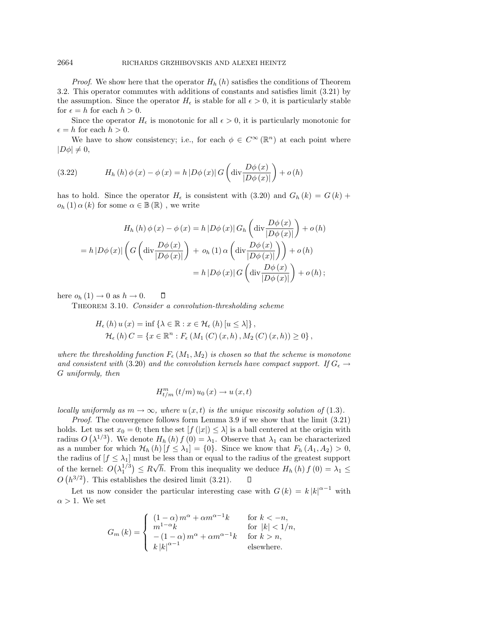*Proof.* We show here that the operator  $H_h(h)$  satisfies the conditions of Theorem 3.2. This operator commutes with additions of constants and satisfies limit (3.21) by the assumption. Since the operator  $H_{\epsilon}$  is stable for all  $\epsilon > 0$ , it is particularly stable for  $\epsilon = h$  for each  $h > 0$ .

Since the operator  $H_{\epsilon}$  is monotonic for all  $\epsilon > 0$ , it is particularly monotonic for  $\epsilon = h$  for each  $h > 0$ .

We have to show consistency; i.e., for each  $\phi \in C^{\infty}(\mathbb{R}^n)$  at each point where  $|D\phi| \neq 0,$ 

(3.22) 
$$
H_h(h)\phi(x) - \phi(x) = h|D\phi(x)|G\left(\text{div}\frac{D\phi(x)}{|D\phi(x)|}\right) + o(h)
$$

has to hold. Since the operator  $H_{\epsilon}$  is consistent with (3.20) and  $G_h(k) = G(k) +$  $o_h(1) \alpha(k)$  for some  $\alpha \in \mathbb{B}(\mathbb{R})$ , we write

$$
H_h(h)\phi(x) - \phi(x) = h|D\phi(x)|G_h\left(\text{div}\frac{D\phi(x)}{|D\phi(x)|}\right) + o(h)
$$

$$
= h|D\phi(x)|\left(G\left(\text{div}\frac{D\phi(x)}{|D\phi(x)|}\right) + o_h(1)\alpha\left(\text{div}\frac{D\phi(x)}{|D\phi(x)|}\right)\right) + o(h)
$$

$$
= h|D\phi(x)|G\left(\text{div}\frac{D\phi(x)}{|D\phi(x)|}\right) + o(h);
$$

here  $o_h(1) \rightarrow 0$  as  $h \rightarrow 0$ .  $\Box$ 

THEOREM 3.10. Consider a convolution-thresholding scheme

$$
H_{\epsilon}(h) u(x) = \inf \{ \lambda \in \mathbb{R} : x \in \mathcal{H}_{\epsilon}(h) [u \le \lambda] \},
$$
  

$$
\mathcal{H}_{\epsilon}(h) C = \{ x \in \mathbb{R}^n : F_{\epsilon}(M_1(C)(x, h), M_2(C)(x, h)) \ge 0 \},
$$

where the thresholding function  $F_{\epsilon}(M_1, M_2)$  is chosen so that the scheme is monotone and consistent with (3.20) and the convolution kernels have compact support. If  $G_{\epsilon} \rightarrow$ G uniformly, then

$$
H_{t/m}^{m}(t/m) u_0(x) \rightarrow u(x,t)
$$

locally uniformly as  $m \to \infty$ , where  $u(x,t)$  is the unique viscosity solution of (1.3).

Proof. The convergence follows form Lemma 3.9 if we show that the limit  $(3.21)$ holds. Let us set  $x_0 = 0$ ; then the set  $[f(|x|) \leq \lambda]$  is a ball centered at the origin with radius  $O(\lambda^{1/3})$ . We denote  $H_h(h) f(0) = \lambda_1$ . Observe that  $\lambda_1$  can be characterized as a number for which  $\mathcal{H}_h(h)[f \leq \lambda_1] = \{0\}$ . Since we know that  $F_h(A_1, A_2) > 0$ , the radius of  $[f \leq \lambda_1]$  must be less than or equal to the radius of the greatest support √ of the kernel:  $O(\lambda_1^{1/3}) \leq R$ h. From this inequality we deduce  $H_h(h) f(0) = \lambda_1 \leq$  $O(n^{3/2})$ . This establishes the desired limit (3.21).  $\Box$ 

Let us now consider the particular interesting case with  $G(k) = k |k|^{\alpha-1}$  with  $\alpha > 1$ . We set

$$
G_m(k) = \begin{cases} (1 - \alpha) m^{\alpha} + \alpha m^{\alpha - 1}k & \text{for } k < -n, \\ m^{1 - \alpha}k & \text{for } |k| < 1/n, \\ -(1 - \alpha) m^{\alpha} + \alpha m^{\alpha - 1}k & \text{for } k > n, \\ k |k|^{\alpha - 1} & \text{elsewhere.} \end{cases}
$$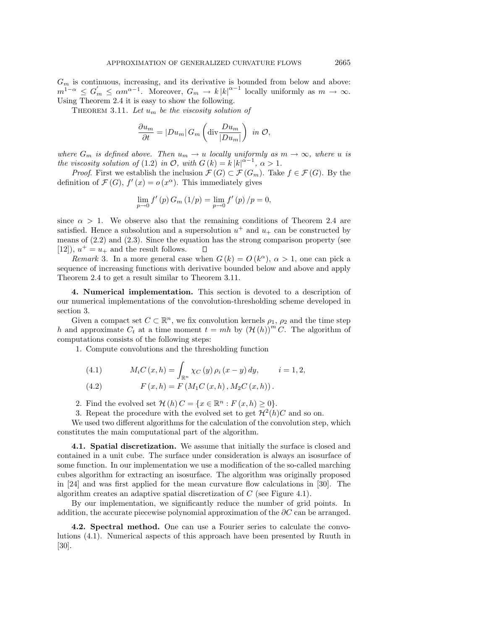$G_m$  is continuous, increasing, and its derivative is bounded from below and above:  $m^{1-\alpha} \leq G'_m \leq \alpha m^{\alpha-1}$ . Moreover,  $G_m \to k |k|^{\alpha-1}$  locally uniformly as  $m \to \infty$ . Using Theorem 2.4 it is easy to show the following.

THEOREM 3.11. Let  $u_m$  be the viscosity solution of

$$
\frac{\partial u_m}{\partial t} = |Du_m| \, G_m \left( \text{div} \frac{Du_m}{|Du_m|} \right) \text{ in } \mathcal{O},
$$

where  $G_m$  is defined above. Then  $u_m \to u$  locally uniformly as  $m \to \infty$ , where u is the viscosity solution of (1.2) in  $\mathcal{O}$ , with  $G(k) = k |k|^{\alpha - 1}$ ,  $\alpha > 1$ .

*Proof.* First we establish the inclusion  $\mathcal{F}(G) \subset \mathcal{F}(G_m)$ . Take  $f \in \mathcal{F}(G)$ . By the definition of  $\mathcal{F}(G)$ ,  $f'(x) = o(x^{\alpha})$ . This immediately gives

$$
\lim_{p \to 0} f'(p) G_m(1/p) = \lim_{p \to 0} f'(p) / p = 0,
$$

since  $\alpha > 1$ . We observe also that the remaining conditions of Theorem 2.4 are satisfied. Hence a subsolution and a supersolution  $u^+$  and  $u_+$  can be constructed by means of (2.2) and (2.3). Since the equation has the strong comparison property (see [12]),  $u^+ = u_+$  and the result follows. П

Remark 3. In a more general case when  $G(k) = O(k^{\alpha})$ ,  $\alpha > 1$ , one can pick a sequence of increasing functions with derivative bounded below and above and apply Theorem 2.4 to get a result similar to Theorem 3.11.

**4. Numerical implementation.** This section is devoted to a description of our numerical implementations of the convolution-thresholding scheme developed in section 3.

Given a compact set  $C \subset \mathbb{R}^n$ , we fix convolution kernels  $\rho_1$ ,  $\rho_2$  and the time step h and approximate  $C_t$  at a time moment  $t = mh$  by  $(\mathcal{H}(h))^m C$ . The algorithm of computations consists of the following steps:

1. Compute convolutions and the thresholding function

(4.1) 
$$
M_i C(x, h) = \int_{\mathbb{R}^n} \chi_C(y) \rho_i(x - y) dy, \qquad i = 1, 2,
$$
  
(4.2) 
$$
F(x, h) = F(M_1 C(x, h), M_2 C(x, h)).
$$

2. Find the evolved set  $\mathcal{H}(h) C = \{x \in \mathbb{R}^n : F(x,h) \geq 0\}.$ 

3. Repeat the procedure with the evolved set to get  $\mathcal{H}^2(h)C$  and so on.

We used two different algorithms for the calculation of the convolution step, which constitutes the main computational part of the algorithm.

**4.1. Spatial discretization.** We assume that initially the surface is closed and contained in a unit cube. The surface under consideration is always an isosurface of some function. In our implementation we use a modification of the so-called marching cubes algorithm for extracting an isosurface. The algorithm was originally proposed in [24] and was first applied for the mean curvature flow calculations in [30]. The algorithm creates an adaptive spatial discretization of C (see Figure 4.1).

By our implementation, we significantly reduce the number of grid points. In addition, the accurate piecewise polynomial approximation of the  $\partial C$  can be arranged.

**4.2. Spectral method.** One can use a Fourier series to calculate the convolutions (4.1). Numerical aspects of this approach have been presented by Ruuth in [30].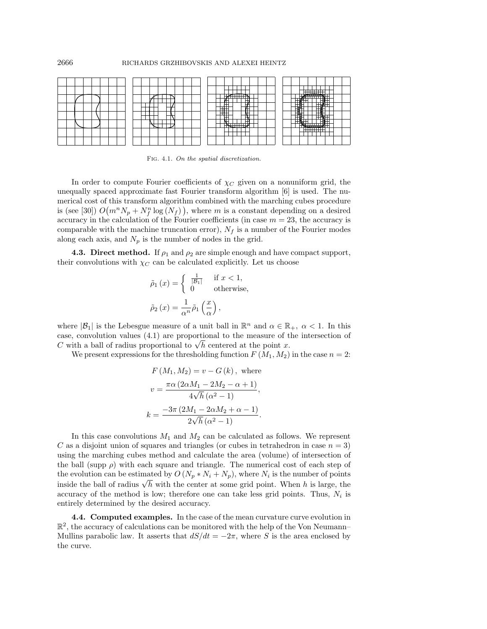

Fig. 4.1. On the spatial discretization.

In order to compute Fourier coefficients of  $\chi_C$  given on a nonuniform grid, the unequally spaced approximate fast Fourier transform algorithm [6] is used. The numerical cost of this transform algorithm combined with the marching cubes procedure is (see [30])  $O(m^n N_p + N_f^n \log(N_f))$ , where m is a constant depending on a desired accuracy in the calculation of the Fourier coefficients (in case  $m = 23$ , the accuracy is comparable with the machine truncation error),  $N_f$  is a number of the Fourier modes along each axis, and  $N_p$  is the number of nodes in the grid.

**4.3. Direct method.** If  $\rho_1$  and  $\rho_2$  are simple enough and have compact support, their convolutions with  $\chi_C$  can be calculated explicitly. Let us choose

$$
\tilde{\rho}_1(x) = \begin{cases}\n\frac{1}{|\mathcal{B}_1|} & \text{if } x < 1, \\
0 & \text{otherwise,} \n\end{cases}
$$
\n
$$
\tilde{\rho}_2(x) = \frac{1}{\alpha^n} \tilde{\rho}_1\left(\frac{x}{\alpha}\right),
$$

where  $|\mathcal{B}_1|$  is the Lebesgue measure of a unit ball in  $\mathbb{R}^n$  and  $\alpha \in \mathbb{R}_+$ ,  $\alpha < 1$ . In this case, convolution values (4.1) are proportional to the measure of the intersection of case, convolution values (4.1) are proportional to the measure of t<br>C with a ball of radius proportional to  $\sqrt{h}$  centered at the point x.

We present expressions for the thresholding function  $F(M_1, M_2)$  in the case  $n = 2$ :

$$
F(M_1, M_2) = v - G(k), \text{ where}
$$
  

$$
v = \frac{\pi \alpha (2\alpha M_1 - 2M_2 - \alpha + 1)}{4\sqrt{h} (\alpha^2 - 1)},
$$
  

$$
k = \frac{-3\pi (2M_1 - 2\alpha M_2 + \alpha - 1)}{2\sqrt{h} (\alpha^2 - 1)}.
$$

In this case convolutions  $M_1$  and  $M_2$  can be calculated as follows. We represent C as a disjoint union of squares and triangles (or cubes in tetrahedron in case  $n = 3$ ) using the marching cubes method and calculate the area (volume) of intersection of the ball (supp  $\rho$ ) with each square and triangle. The numerical cost of each step of the evolution can be estimated by  $O(N_p*N_i+N_p)$ , where  $N_i$  is the number of points ine evolution can be estimated by  $O(N_p * N_i + N_p)$ , where  $N_i$  is the number of points inside the ball of radius  $\sqrt{h}$  with the center at some grid point. When h is large, the accuracy of the method is low; therefore one can take less grid points. Thus,  $N_i$  is entirely determined by the desired accuracy.

**4.4. Computed examples.** In the case of the mean curvature curve evolution in  $\mathbb{R}^2$ , the accuracy of calculations can be monitored with the help of the Von Neumann– Mullins parabolic law. It asserts that  $dS/dt = -2\pi$ , where S is the area enclosed by the curve.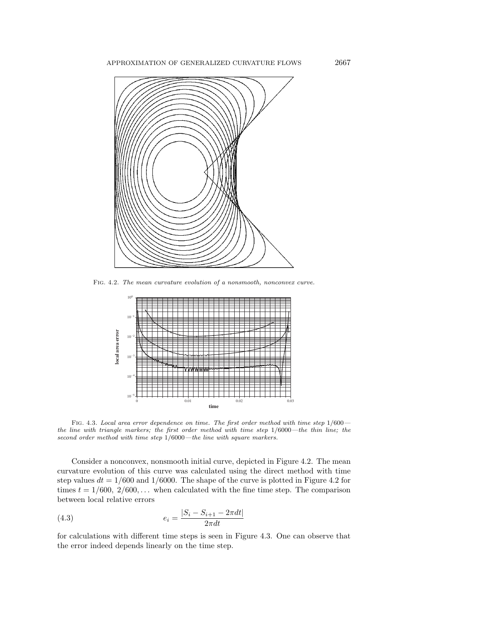APPROXIMATION OF GENERALIZED CURVATURE FLOWS 2667



Fig. 4.2. The mean curvature evolution of a nonsmooth, nonconvex curve.



Fig. 4.3. Local area error dependence on time. The first order method with time step 1/600 the line with triangle markers; the first order method with time step 1/6000—the thin line; the second order method with time step 1/6000—the line with square markers.

Consider a nonconvex, nonsmooth initial curve, depicted in Figure 4.2. The mean curvature evolution of this curve was calculated using the direct method with time step values  $dt = 1/600$  and  $1/6000$ . The shape of the curve is plotted in Figure 4.2 for times  $t = 1/600, 2/600,...$  when calculated with the fine time step. The comparison between local relative errors

(4.3) 
$$
e_i = \frac{|S_i - S_{i+1} - 2\pi dt|}{2\pi dt}
$$

for calculations with different time steps is seen in Figure 4.3. One can observe that the error indeed depends linearly on the time step.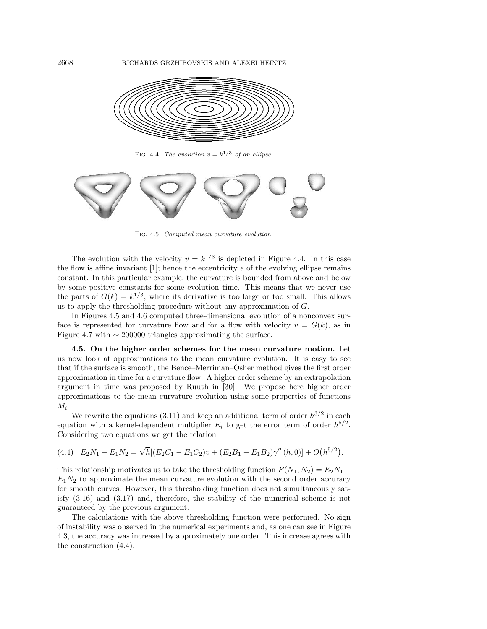

FIG. 4.4. The evolution  $v = k^{1/3}$  of an ellipse.



Fig. 4.5. Computed mean curvature evolution.

The evolution with the velocity  $v = k^{1/3}$  is depicted in Figure 4.4. In this case the flow is affine invariant [1]; hence the eccentricity  $e$  of the evolving ellipse remains constant. In this particular example, the curvature is bounded from above and below by some positive constants for some evolution time. This means that we never use the parts of  $G(k) = k^{1/3}$ , where its derivative is too large or too small. This allows us to apply the thresholding procedure without any approximation of  $G$ .

In Figures 4.5 and 4.6 computed three-dimensional evolution of a nonconvex surface is represented for curvature flow and for a flow with velocity  $v = G(k)$ , as in Figure 4.7 with  $\sim$  200000 triangles approximating the surface.

**4.5. On the higher order schemes for the mean curvature motion.** Let us now look at approximations to the mean curvature evolution. It is easy to see that if the surface is smooth, the Bence–Merriman–Osher method gives the first order approximation in time for a curvature flow. A higher order scheme by an extrapolation argument in time was proposed by Ruuth in [30]. We propose here higher order approximations to the mean curvature evolution using some properties of functions  $M_i$ .

We rewrite the equations (3.11) and keep an additional term of order  $h^{3/2}$  in each equation with a kernel-dependent multiplier  $E_i$  to get the error term of order  $h^{5/2}$ . Considering two equations we get the relation

$$
(4.4) \quad E_2N_1 - E_1N_2 = \sqrt{h}[(E_2C_1 - E_1C_2)v + (E_2B_1 - E_1B_2)\gamma''(h,0)] + O(h^{5/2}).
$$

This relationship motivates us to take the thresholding function  $F(N_1, N_2) = E_2N_1 E_1N_2$  to approximate the mean curvature evolution with the second order accuracy for smooth curves. However, this thresholding function does not simultaneously satisfy (3.16) and (3.17) and, therefore, the stability of the numerical scheme is not guaranteed by the previous argument.

The calculations with the above thresholding function were performed. No sign of instability was observed in the numerical experiments and, as one can see in Figure 4.3, the accuracy was increased by approximately one order. This increase agrees with the construction (4.4).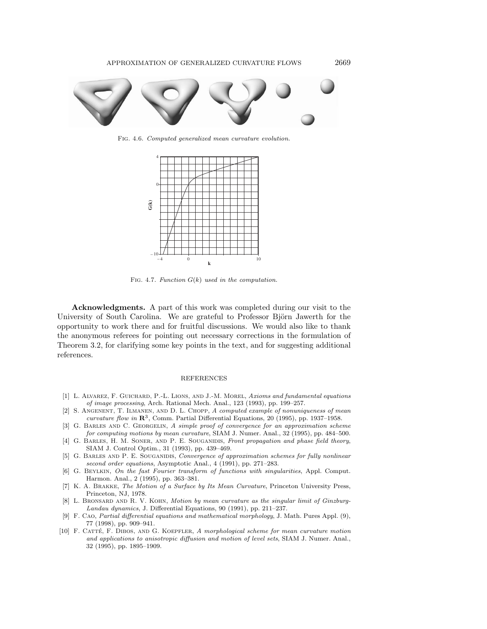

Fig. 4.6. Computed generalized mean curvature evolution.



FIG. 4.7. Function  $G(k)$  used in the computation.

**Acknowledgments.** A part of this work was completed during our visit to the University of South Carolina. We are grateful to Professor Björn Jawerth for the opportunity to work there and for fruitful discussions. We would also like to thank the anonymous referees for pointing out necessary corrections in the formulation of Theorem 3.2, for clarifying some key points in the text, and for suggesting additional references.

## REFERENCES

- [1] L. ALVAREZ, F. GUICHARD, P.-L. LIONS, AND J.-M. MOREL, Axioms and fundamental equations of image processing, Arch. Rational Mech. Anal., 123 (1993), pp. 199–257.
- [2] S. Angenent, T. Ilmanen, and D. L. Chopp, A computed example of nonuniqueness of mean curvature flow in **R**3, Comm. Partial Differential Equations, 20 (1995), pp. 1937–1958.
- [3] G. Barles and C. Georgelin, A simple proof of convergence for an approximation scheme for computing motions by mean curvature, SIAM J. Numer. Anal., 32 (1995), pp. 484–500.
- [4] G. BARLES, H. M. SONER, AND P. E. SOUGANIDIS, Front propagation and phase field theory, SIAM J. Control Optim., 31 (1993), pp. 439–469.
- [5] G. BARLES AND P. E. SOUGANIDIS, Convergence of approximation schemes for fully nonlinear second order equations, Asymptotic Anal., 4 (1991), pp. 271–283.
- [6] G. BEYLKIN, On the fast Fourier transform of functions with singularities, Appl. Comput. Harmon. Anal., 2 (1995), pp. 363–381.
- [7] K. A. Brakke, The Motion of a Surface by Its Mean Curvature, Princeton University Press, Princeton, NJ, 1978.
- [8] L. BRONSARD AND R. V. KOHN, Motion by mean curvature as the singular limit of Ginzburg-Landau dynamics, J. Differential Equations, 90 (1991), pp. 211–237.
- [9] F. Cao, Partial differential equations and mathematical morphology, J. Math. Pures Appl. (9), 77 (1998), pp. 909–941.
- [10] F. CATTÉ, F. DIBOS, AND G. KOEPFLER, A morphological scheme for mean curvature motion and applications to anisotropic diffusion and motion of level sets, SIAM J. Numer. Anal., 32 (1995), pp. 1895–1909.